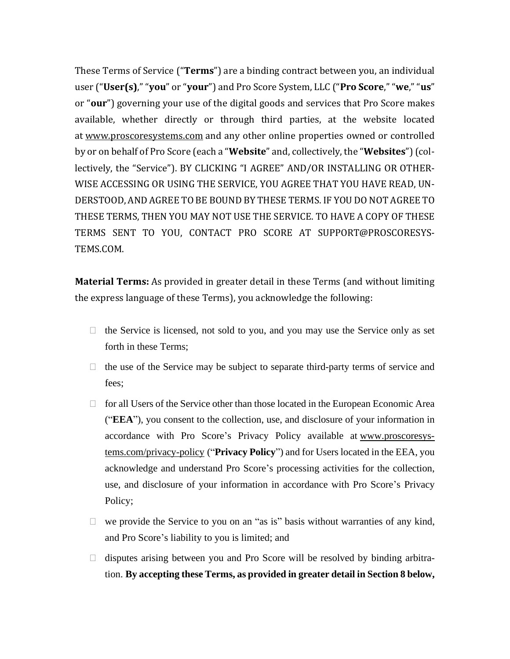These Terms of Service ("**Terms**") are a binding contract between you, an individual user ("**User(s)**," "**you**" or "**your**") and Pro Score System, LLC ("**Pro Score**," "**we**," "**us**" or "**our**") governing your use of the digital goods and services that Pro Score makes available, whether directly or through third parties, at the website located at www.proscoresystems.com and any other online properties owned or controlled by or on behalf of Pro Score (each a "**Website**" and, collectively, the "**Websites**")(collectively, the "Service"). BY CLICKING "I AGREE" AND/OR INSTALLING OR OTHER-WISE ACCESSING OR USING THE SERVICE, YOU AGREE THAT YOU HAVE READ, UN-DERSTOOD, AND AGREE TO BE BOUND BY THESE TERMS. IF YOU DO NOT AGREE TO THESE TERMS, THEN YOU MAY NOT USE THE SERVICE. TO HAVE A COPY OF THESE TERMS SENT TO YOU, CONTACT PRO SCORE AT SUPPORT@PROSCORESYS-TEMS.COM.

**Material Terms:** As provided in greater detail in these Terms (and without limiting the express language of these Terms), you acknowledge the following:

- $\Box$  the Service is licensed, not sold to you, and you may use the Service only as set forth in these Terms;
- $\Box$  the use of the Service may be subject to separate third-party terms of service and fees;
- $\Box$  for all Users of the Service other than those located in the European Economic Area ("**EEA**"), you consent to the collection, use, and disclosure of your information in accordance with Pro Score's Privacy Policy available at www.proscoresystems.com/privacy-policy ("**Privacy Policy**") and for Users located in the EEA, you acknowledge and understand Pro Score's processing activities for the collection, use, and disclosure of your information in accordance with Pro Score's Privacy Policy;
- $\Box$  we provide the Service to you on an "as is" basis without warranties of any kind, and Pro Score's liability to you is limited; and
- $\Box$  disputes arising between you and Pro Score will be resolved by binding arbitration. **By accepting these Terms, as provided in greater detail in Section 8 below,**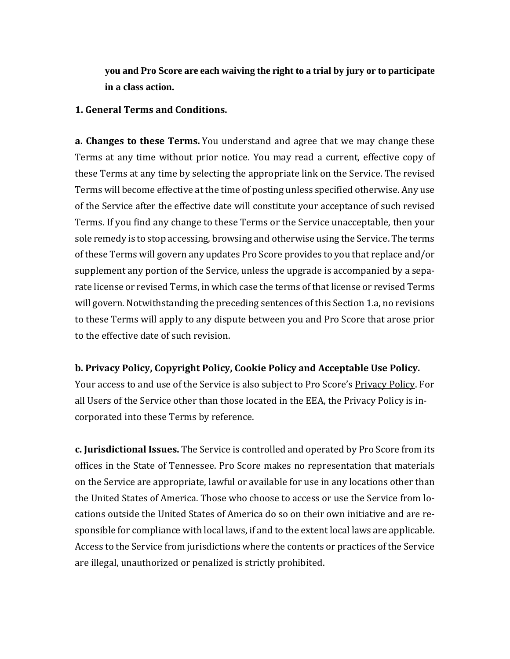**you and Pro Score are each waiving the right to a trial by jury or to participate in a class action.**

### **1. General Terms and Conditions.**

**a. Changes to these Terms.** You understand and agree that we may change these Terms at any time without prior notice. You may read a current, effective copy of these Terms at any time by selecting the appropriate link on the Service. The revised Terms will become effective at the time of posting unless specified otherwise. Any use of the Service after the effective date will constitute your acceptance of such revised Terms. If you find any change to these Terms or the Service unacceptable, then your sole remedy is to stop accessing, browsing and otherwise using the Service. The terms of these Terms will govern any updates Pro Score provides to you that replace and/or supplement any portion of the Service, unless the upgrade is accompanied by a separate license or revised Terms, in which case the terms of that license or revised Terms will govern. Notwithstanding the preceding sentences of this Section 1.a, no revisions to these Terms will apply to any dispute between you and Pro Score that arose prior to the effective date of such revision.

## **b. Privacy Policy, Copyright Policy, Cookie Policy and Acceptable Use Policy.**

Your access to and use of the Service is also subject to Pro Score's Privacy Policy. For all Users of the Service other than those located in the EEA, the Privacy Policy is incorporated into these Terms by reference.

**c. Jurisdictional Issues.** The Service is controlled and operated by Pro Score from its offices in the State of Tennessee. Pro Score makes no representation that materials on the Service are appropriate, lawful or available for use in any locations other than the United States of America. Those who choose to access or use the Service from locations outside the United States of America do so on their own initiative and are responsible for compliance with local laws, if and to the extent local laws are applicable. Access to the Service from jurisdictions where the contents or practices of the Service are illegal, unauthorized or penalized is strictly prohibited.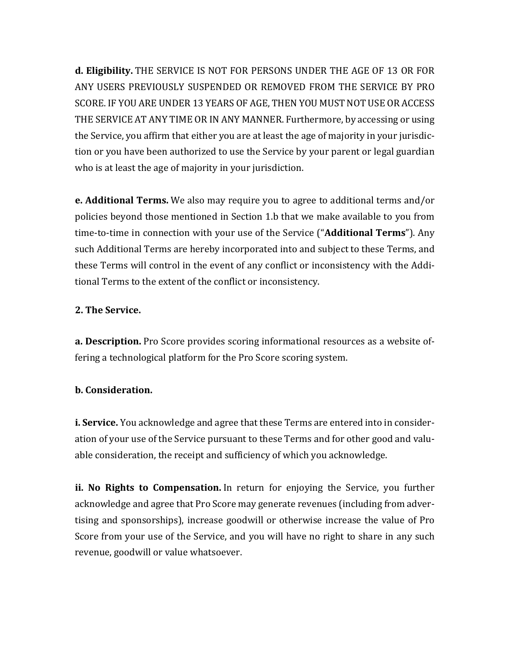**d. Eligibility.** THE SERVICE IS NOT FOR PERSONS UNDER THE AGE OF 13 OR FOR ANY USERS PREVIOUSLY SUSPENDED OR REMOVED FROM THE SERVICE BY PRO SCORE. IF YOU ARE UNDER 13 YEARS OF AGE, THEN YOU MUST NOT USE OR ACCESS THE SERVICE AT ANY TIME OR IN ANY MANNER. Furthermore, by accessing or using the Service, you affirm that either you are at least the age of majority in your jurisdiction or you have been authorized to use the Service by your parent or legal guardian who is at least the age of majority in your jurisdiction.

**e. Additional Terms.** We also may require you to agree to additional terms and/or policies beyond those mentioned in Section 1.b that we make available to you from time-to-time in connection with your use of the Service ("**Additional Terms**"). Any such Additional Terms are hereby incorporated into and subject to these Terms, and these Terms will control in the event of any conflict or inconsistency with the Additional Terms to the extent of the conflict or inconsistency.

# **2. The Service.**

**a. Description.** Pro Score provides scoring informational resources as a website offering a technological platform for the Pro Score scoring system.

# **b. Consideration.**

**i. Service.** You acknowledge and agree that these Terms are entered into in consideration of your use of the Service pursuant to these Terms and for other good and valuable consideration, the receipt and sufficiency of which you acknowledge.

**ii. No Rights to Compensation.** In return for enjoying the Service, you further acknowledge and agree that Pro Score may generate revenues (including from advertising and sponsorships), increase goodwill or otherwise increase the value of Pro Score from your use of the Service, and you will have no right to share in any such revenue, goodwill or value whatsoever.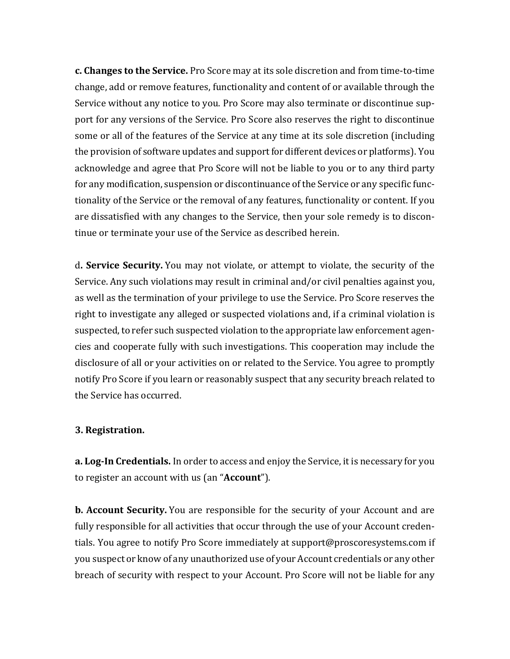**c. Changes to the Service.** Pro Score may at its sole discretion and from time-to-time change, add or remove features, functionality and content of or available through the Service without any notice to you. Pro Score may also terminate or discontinue support for any versions of the Service. Pro Score also reserves the right to discontinue some or all of the features of the Service at any time at its sole discretion (including the provision of software updates and support for different devices or platforms). You acknowledge and agree that Pro Score will not be liable to you or to any third party for any modification, suspension or discontinuance of the Service or any specific functionality of the Service or the removal of any features, functionality or content. If you are dissatisfied with any changes to the Service, then your sole remedy is to discontinue or terminate your use of the Service as described herein.

d**. Service Security.** You may not violate, or attempt to violate, the security of the Service. Any such violations may result in criminal and/or civil penalties against you, as well as the termination of your privilege to use the Service. Pro Score reserves the right to investigate any alleged or suspected violations and, if a criminal violation is suspected, to refer such suspected violation to the appropriate law enforcement agencies and cooperate fully with such investigations. This cooperation may include the disclosure of all or your activities on or related to the Service. You agree to promptly notify Pro Score if you learn or reasonably suspect that any security breach related to the Service has occurred.

## **3. Registration.**

**a. Log-In Credentials.** In order to access and enjoy the Service, it is necessary for you to register an account with us (an "**Account**").

**b. Account Security.** You are responsible for the security of your Account and are fully responsible for all activities that occur through the use of your Account credentials. You agree to notify Pro Score immediately at support@proscoresystems.com if you suspect or know of any unauthorized use of your Account credentials or any other breach of security with respect to your Account. Pro Score will not be liable for any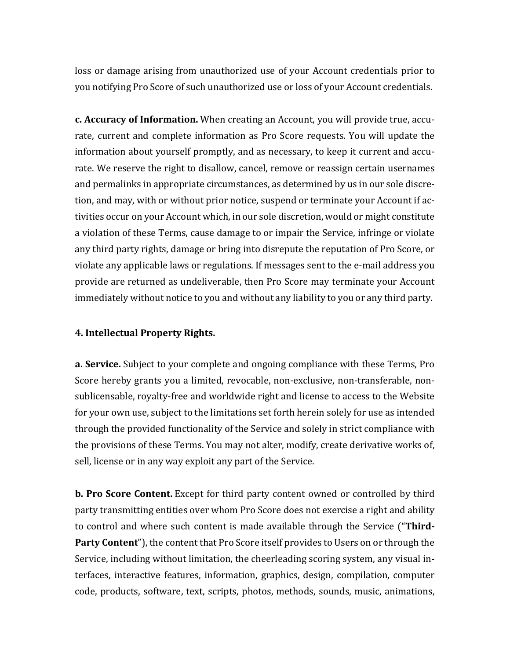loss or damage arising from unauthorized use of your Account credentials prior to you notifying Pro Score of such unauthorized use or loss of your Account credentials.

**c. Accuracy of Information.** When creating an Account, you will provide true, accurate, current and complete information as Pro Score requests. You will update the information about yourself promptly, and as necessary, to keep it current and accurate. We reserve the right to disallow, cancel, remove or reassign certain usernames and permalinks in appropriate circumstances, as determined by us in our sole discretion, and may, with or without prior notice, suspend or terminate your Account if activities occur on your Account which, in our sole discretion, would or might constitute a violation of these Terms, cause damage to or impair the Service, infringe or violate any third party rights, damage or bring into disrepute the reputation of Pro Score, or violate any applicable laws or regulations. If messages sent to the e-mail address you provide are returned as undeliverable, then Pro Score may terminate your Account immediately without notice to you and without any liability to you or any third party.

## **4. Intellectual Property Rights.**

**a. Service.** Subject to your complete and ongoing compliance with these Terms, Pro Score hereby grants you a limited, revocable, non-exclusive, non-transferable, nonsublicensable, royalty-free and worldwide right and license to access to the Website for your own use, subject to the limitations set forth herein solely for use as intended through the provided functionality of the Service and solely in strict compliance with the provisions of these Terms. You may not alter, modify, create derivative works of, sell, license or in any way exploit any part of the Service.

**b. Pro Score Content.** Except for third party content owned or controlled by third party transmitting entities over whom Pro Score does not exercise a right and ability to control and where such content is made available through the Service ("**Third-Party Content**"), the content that Pro Score itself provides to Users on or through the Service, including without limitation, the cheerleading scoring system, any visual interfaces, interactive features, information, graphics, design, compilation, computer code, products, software, text, scripts, photos, methods, sounds, music, animations,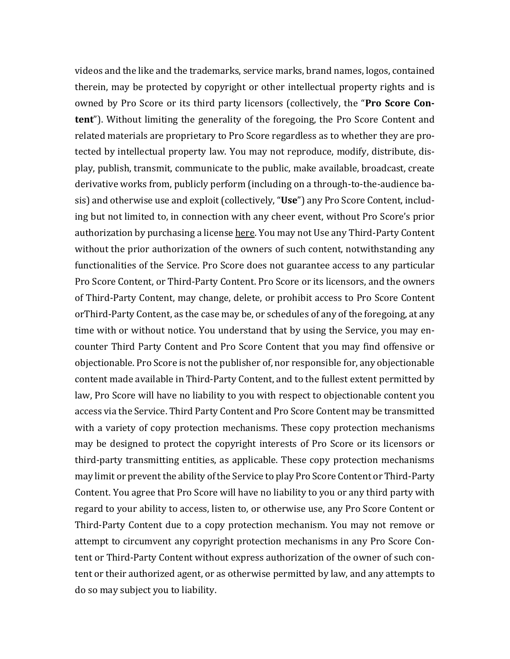videos and the like and the trademarks, service marks, brand names, logos, contained therein, may be protected by copyright or other intellectual property rights and is owned by Pro Score or its third party licensors (collectively, the "**Pro Score Content**"). Without limiting the generality of the foregoing, the Pro Score Content and related materials are proprietary to Pro Score regardless as to whether they are protected by intellectual property law. You may not reproduce, modify, distribute, display, publish, transmit, communicate to the public, make available, broadcast, create derivative works from, publicly perform (including on a through-to-the-audience basis) and otherwise use and exploit (collectively, "**Use**") any Pro Score Content, including but not limited to, in connection with any cheer event, without Pro Score's prior authorization by purchasing a license here. You may not Use any Third-Party Content without the prior authorization of the owners of such content, notwithstanding any functionalities of the Service. Pro Score does not guarantee access to any particular Pro Score Content, or Third-Party Content. Pro Score or its licensors, and the owners of Third-Party Content, may change, delete, or prohibit access to Pro Score Content orThird-Party Content, as the case may be, or schedules of any of the foregoing, at any time with or without notice. You understand that by using the Service, you may encounter Third Party Content and Pro Score Content that you may find offensive or objectionable. Pro Score is not the publisher of, nor responsible for, any objectionable content made available in Third-Party Content, and to the fullest extent permitted by law, Pro Score will have no liability to you with respect to objectionable content you access via the Service. Third Party Content and Pro Score Content may be transmitted with a variety of copy protection mechanisms. These copy protection mechanisms may be designed to protect the copyright interests of Pro Score or its licensors or third-party transmitting entities, as applicable. These copy protection mechanisms may limit or prevent the ability of the Service to play Pro Score Content or Third-Party Content. You agree that Pro Score will have no liability to you or any third party with regard to your ability to access, listen to, or otherwise use, any Pro Score Content or Third-Party Content due to a copy protection mechanism. You may not remove or attempt to circumvent any copyright protection mechanisms in any Pro Score Content or Third-Party Content without express authorization of the owner of such content or their authorized agent, or as otherwise permitted by law, and any attempts to do so may subject you to liability.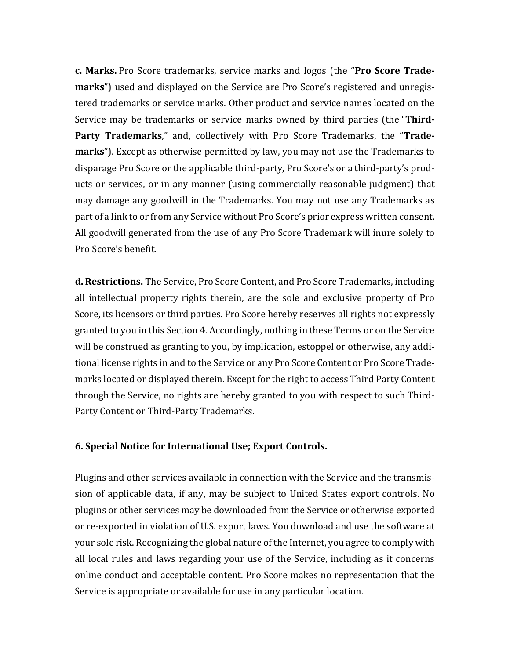**c. Marks.** Pro Score trademarks, service marks and logos (the "**Pro Score Trademarks**") used and displayed on the Service are Pro Score's registered and unregistered trademarks or service marks. Other product and service names located on the Service may be trademarks or service marks owned by third parties (the "**Third-Party Trademarks**," and, collectively with Pro Score Trademarks, the "**Trademarks**"). Except as otherwise permitted by law, you may not use the Trademarks to disparage Pro Score or the applicable third-party, Pro Score's or a third-party's products or services, or in any manner (using commercially reasonable judgment) that may damage any goodwill in the Trademarks. You may not use any Trademarks as part of a link to or from any Service without Pro Score's prior express written consent. All goodwill generated from the use of any Pro Score Trademark will inure solely to Pro Score's benefit.

**d. Restrictions.** The Service, Pro Score Content, and Pro Score Trademarks, including all intellectual property rights therein, are the sole and exclusive property of Pro Score, its licensors or third parties. Pro Score hereby reserves all rights not expressly granted to you in this Section 4. Accordingly, nothing in these Terms or on the Service will be construed as granting to you, by implication, estoppel or otherwise, any additional license rights in and to the Service or any Pro Score Content or Pro Score Trademarks located or displayed therein. Except for the right to access Third Party Content through the Service, no rights are hereby granted to you with respect to such Third-Party Content or Third-Party Trademarks.

## **6. Special Notice for International Use; Export Controls.**

Plugins and other services available in connection with the Service and the transmission of applicable data, if any, may be subject to United States export controls. No plugins or other services may be downloaded from the Service or otherwise exported or re-exported in violation of U.S. export laws. You download and use the software at your sole risk. Recognizing the global nature of the Internet, you agree to comply with all local rules and laws regarding your use of the Service, including as it concerns online conduct and acceptable content. Pro Score makes no representation that the Service is appropriate or available for use in any particular location.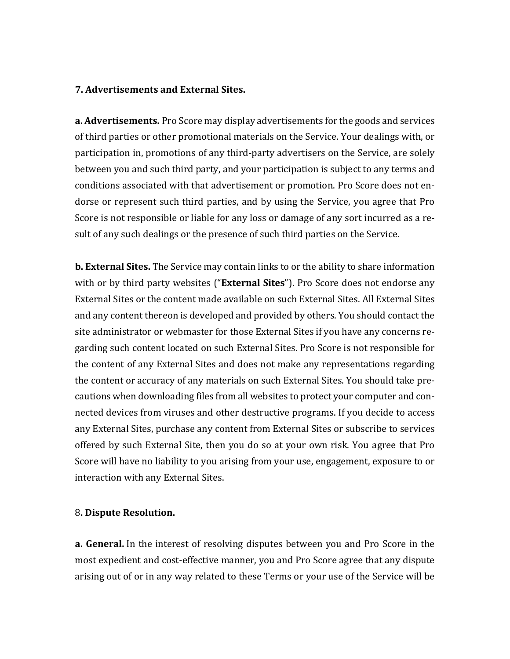### **7. Advertisements and External Sites.**

**a. Advertisements.** Pro Score may display advertisements for the goods and services of third parties or other promotional materials on the Service. Your dealings with, or participation in, promotions of any third-party advertisers on the Service, are solely between you and such third party, and your participation is subject to any terms and conditions associated with that advertisement or promotion. Pro Score does not endorse or represent such third parties, and by using the Service, you agree that Pro Score is not responsible or liable for any loss or damage of any sort incurred as a result of any such dealings or the presence of such third parties on the Service.

**b. External Sites.** The Service may contain links to or the ability to share information with or by third party websites ("**External Sites**"). Pro Score does not endorse any External Sites or the content made available on such External Sites. All External Sites and any content thereon is developed and provided by others. You should contact the site administrator or webmaster for those External Sites if you have any concerns regarding such content located on such External Sites. Pro Score is not responsible for the content of any External Sites and does not make any representations regarding the content or accuracy of any materials on such External Sites. You should take precautions when downloading files from all websites to protect your computer and connected devices from viruses and other destructive programs. If you decide to access any External Sites, purchase any content from External Sites or subscribe to services offered by such External Site, then you do so at your own risk. You agree that Pro Score will have no liability to you arising from your use, engagement, exposure to or interaction with any External Sites.

#### 8**. Dispute Resolution.**

**a. General.** In the interest of resolving disputes between you and Pro Score in the most expedient and cost-effective manner, you and Pro Score agree that any dispute arising out of or in any way related to these Terms or your use of the Service will be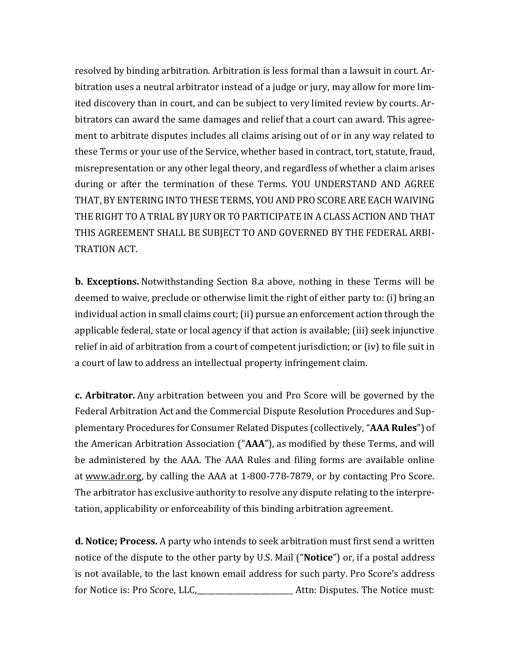resolved by binding arbitration. Arbitration is less formal than a lawsuit in court. Arbitration uses a neutral arbitrator instead of a judge or jury, may allow for more limited discovery than in court, and can be subject to very limited review by courts. Arbitrators can award the same damages and relief that a court can award. This agreement to arbitrate disputes includes all claims arising out of or in any way related to these Terms or your use of the Service, whether based in contract, tort, statute, fraud, misrepresentation or any other legal theory, and regardless of whether a claim arises during or after the termination of these Terms. YOU UNDERSTAND AND AGREE THAT, BY ENTERING INTO THESE TERMS, YOU AND PRO SCORE ARE EACH WAIVING THE RIGHT TO A TRIAL BY JURY OR TO PARTICIPATE IN A CLASS ACTION AND THAT THIS AGREEMENT SHALL BE SUBJECT TO AND GOVERNED BY THE FEDERAL ARBI-TRATION ACT.

**b. Exceptions.** Notwithstanding Section 8.a above, nothing in these Terms will be deemed to waive, preclude or otherwise limit the right of either party to: (i) bring an individual action in small claims court; (ii) pursue an enforcement action through the applicable federal, state or local agency if that action is available; (iii) seek injunctive relief in aid of arbitration from a court of competent jurisdiction; or (iv) to file suit in a court of law to address an intellectual property infringement claim.

**c. Arbitrator.** Any arbitration between you and Pro Score will be governed by the Federal Arbitration Act and the Commercial Dispute Resolution Procedures and Supplementary Procedures for Consumer Related Disputes (collectively, "**AAA Rules**") of the American Arbitration Association ("**AAA**"), as modified by these Terms, and will be administered by the AAA. The AAA Rules and filing forms are available online at [www.adr.org,](https://www.adr.org/) by calling the AAA at 1-800-778-7879, or by contacting Pro Score. The arbitrator has exclusive authority to resolve any dispute relating to the interpretation, applicability or enforceability of this binding arbitration agreement.

**d. Notice; Process.** A party who intends to seek arbitration must first send a written notice of the dispute to the other party by U.S. Mail ("**Notice**") or, if a postal address is not available, to the last known email address for such party. Pro Score's address for Notice is: Pro Score, LLC, Chambrell and Atthermies. The Notice must: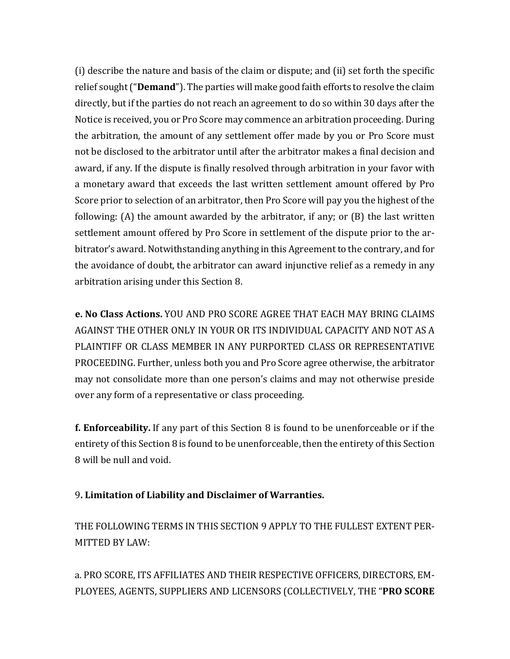(i) describe the nature and basis of the claim or dispute; and (ii) set forth the specific relief sought("**Demand**"). The parties will make good faith efforts to resolve the claim directly, but if the parties do not reach an agreement to do so within 30 days after the Notice is received, you or Pro Score may commence an arbitration proceeding. During the arbitration, the amount of any settlement offer made by you or Pro Score must not be disclosed to the arbitrator until after the arbitrator makes a final decision and award, if any. If the dispute is finally resolved through arbitration in your favor with a monetary award that exceeds the last written settlement amount offered by Pro Score prior to selection of an arbitrator, then Pro Score will pay you the highest of the following: (A) the amount awarded by the arbitrator, if any; or (B) the last written settlement amount offered by Pro Score in settlement of the dispute prior to the arbitrator's award. Notwithstanding anything in this Agreement to the contrary, and for the avoidance of doubt, the arbitrator can award injunctive relief as a remedy in any arbitration arising under this Section 8.

**e. No Class Actions.** YOU AND PRO SCORE AGREE THAT EACH MAY BRING CLAIMS AGAINST THE OTHER ONLY IN YOUR OR ITS INDIVIDUAL CAPACITY AND NOT AS A PLAINTIFF OR CLASS MEMBER IN ANY PURPORTED CLASS OR REPRESENTATIVE PROCEEDING. Further, unless both you and Pro Score agree otherwise, the arbitrator may not consolidate more than one person's claims and may not otherwise preside over any form of a representative or class proceeding.

**f. Enforceability.** If any part of this Section 8 is found to be unenforceable or if the entirety of this Section 8 is found to be unenforceable, then the entirety of this Section 8 will be null and void.

# 9**. Limitation of Liability and Disclaimer of Warranties.**

THE FOLLOWING TERMS IN THIS SECTION 9 APPLY TO THE FULLEST EXTENT PER-MITTED BY LAW:

a. PRO SCORE, ITS AFFILIATES AND THEIR RESPECTIVE OFFICERS, DIRECTORS, EM-PLOYEES, AGENTS, SUPPLIERS AND LICENSORS (COLLECTIVELY, THE "**PRO SCORE**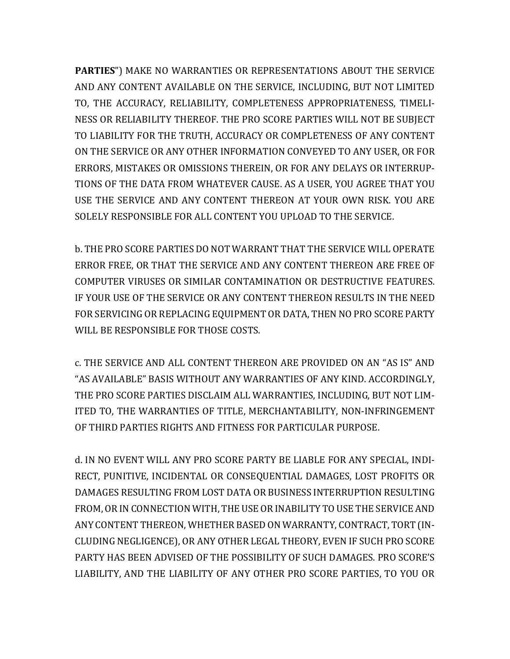**PARTIES**") MAKE NO WARRANTIES OR REPRESENTATIONS ABOUT THE SERVICE AND ANY CONTENT AVAILABLE ON THE SERVICE, INCLUDING, BUT NOT LIMITED TO, THE ACCURACY, RELIABILITY, COMPLETENESS APPROPRIATENESS, TIMELI-NESS OR RELIABILITY THEREOF. THE PRO SCORE PARTIES WILL NOT BE SUBJECT TO LIABILITY FOR THE TRUTH, ACCURACY OR COMPLETENESS OF ANY CONTENT ON THE SERVICE OR ANY OTHER INFORMATION CONVEYED TO ANY USER, OR FOR ERRORS, MISTAKES OR OMISSIONS THEREIN, OR FOR ANY DELAYS OR INTERRUP-TIONS OF THE DATA FROM WHATEVER CAUSE. AS A USER, YOU AGREE THAT YOU USE THE SERVICE AND ANY CONTENT THEREON AT YOUR OWN RISK. YOU ARE SOLELY RESPONSIBLE FOR ALL CONTENT YOU UPLOAD TO THE SERVICE.

b. THE PRO SCORE PARTIES DO NOT WARRANT THAT THE SERVICE WILL OPERATE ERROR FREE, OR THAT THE SERVICE AND ANY CONTENT THEREON ARE FREE OF COMPUTER VIRUSES OR SIMILAR CONTAMINATION OR DESTRUCTIVE FEATURES. IF YOUR USE OF THE SERVICE OR ANY CONTENT THEREON RESULTS IN THE NEED FOR SERVICING OR REPLACING EQUIPMENT OR DATA, THEN NO PRO SCORE PARTY WILL BE RESPONSIBLE FOR THOSE COSTS.

c. THE SERVICE AND ALL CONTENT THEREON ARE PROVIDED ON AN "AS IS" AND "AS AVAILABLE" BASIS WITHOUT ANY WARRANTIES OF ANY KIND. ACCORDINGLY, THE PRO SCORE PARTIES DISCLAIM ALL WARRANTIES, INCLUDING, BUT NOT LIM-ITED TO, THE WARRANTIES OF TITLE, MERCHANTABILITY, NON-INFRINGEMENT OF THIRD PARTIES RIGHTS AND FITNESS FOR PARTICULAR PURPOSE.

d. IN NO EVENT WILL ANY PRO SCORE PARTY BE LIABLE FOR ANY SPECIAL, INDI-RECT, PUNITIVE, INCIDENTAL OR CONSEQUENTIAL DAMAGES, LOST PROFITS OR DAMAGES RESULTING FROM LOST DATA OR BUSINESS INTERRUPTION RESULTING FROM, OR IN CONNECTION WITH, THE USE OR INABILITY TO USE THE SERVICE AND ANY CONTENT THEREON, WHETHER BASEDON WARRANTY, CONTRACT, TORT (IN-CLUDING NEGLIGENCE), OR ANY OTHER LEGAL THEORY, EVEN IF SUCH PRO SCORE PARTY HAS BEEN ADVISED OF THE POSSIBILITY OF SUCH DAMAGES. PRO SCORE'S LIABILITY, AND THE LIABILITY OF ANY OTHER PRO SCORE PARTIES, TO YOU OR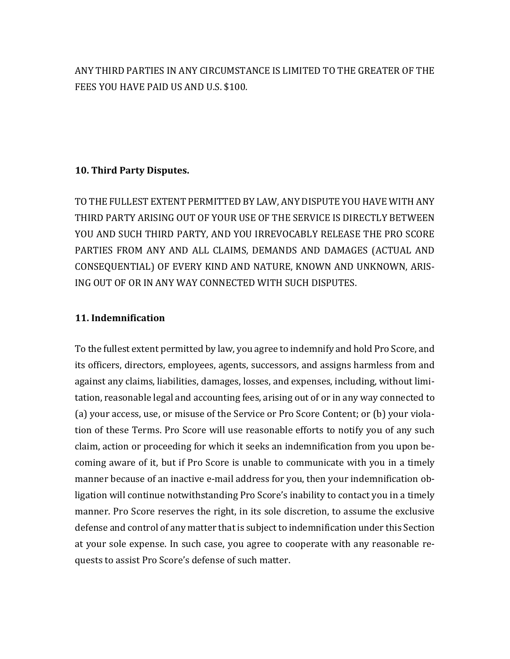ANY THIRD PARTIES IN ANY CIRCUMSTANCE IS LIMITED TO THE GREATER OF THE FEES YOU HAVE PAID US AND U.S. \$100.

# **10. Third Party Disputes.**

TO THE FULLEST EXTENT PERMITTED BY LAW, ANY DISPUTE YOU HAVE WITHANY THIRD PARTY ARISING OUT OF YOUR USE OF THE SERVICE IS DIRECTLY BETWEEN YOU AND SUCH THIRD PARTY, AND YOU IRREVOCABLY RELEASE THE PRO SCORE PARTIES FROM ANY AND ALL CLAIMS, DEMANDS AND DAMAGES (ACTUAL AND CONSEQUENTIAL) OF EVERY KIND AND NATURE, KNOWN AND UNKNOWN, ARIS-ING OUT OF OR IN ANY WAY CONNECTED WITH SUCH DISPUTES.

## **11. Indemnification**

To the fullest extent permitted by law, you agree to indemnify and hold Pro Score, and its officers, directors, employees, agents, successors, and assigns harmless from and against any claims, liabilities, damages, losses, and expenses, including, without limitation, reasonable legal and accounting fees, arising out of or in any way connected to (a) your access, use, or misuse of the Service or Pro Score Content; or (b) your violation of these Terms. Pro Score will use reasonable efforts to notify you of any such claim, action or proceeding for which it seeks an indemnification from you upon becoming aware of it, but if Pro Score is unable to communicate with you in a timely manner because of an inactive e-mail address for you, then your indemnification obligation will continue notwithstanding Pro Score's inability to contact you in a timely manner. Pro Score reserves the right, in its sole discretion, to assume the exclusive defense and control of any matter that is subject to indemnification under this Section at your sole expense. In such case, you agree to cooperate with any reasonable requests to assist Pro Score's defense of such matter.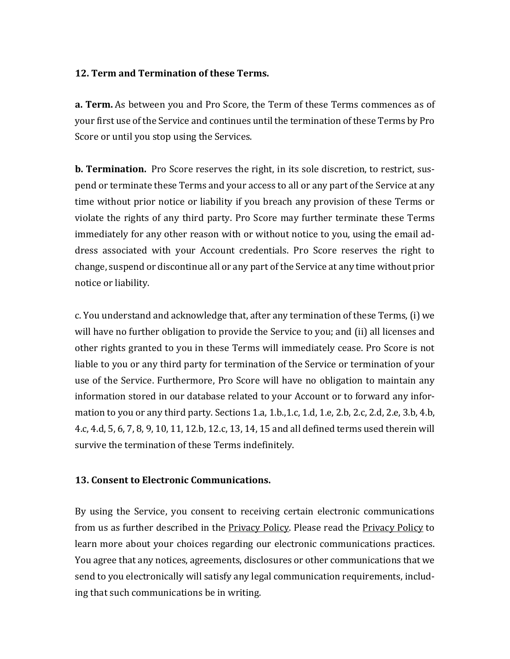## **12. Term and Termination of these Terms.**

**a. Term.** As between you and Pro Score, the Term of these Terms commences as of your first use of the Service and continues until the termination of these Terms by Pro Score or until you stop using the Services.

**b. Termination.** Pro Score reserves the right, in its sole discretion, to restrict, suspend or terminate these Terms and your access to all or any part of the Service at any time without prior notice or liability if you breach any provision of these Terms or violate the rights of any third party. Pro Score may further terminate these Terms immediately for any other reason with or without notice to you, using the email address associated with your Account credentials. Pro Score reserves the right to change, suspend or discontinue all or any part of the Service at any time without prior notice or liability.

c. You understand and acknowledge that, after any termination of these Terms, (i) we will have no further obligation to provide the Service to you; and (ii) all licenses and other rights granted to you in these Terms will immediately cease. Pro Score is not liable to you or any third party for termination of the Service or termination of your use of the Service. Furthermore, Pro Score will have no obligation to maintain any information stored in our database related to your Account or to forward any information to you or any third party. Sections 1.a, 1.b.,1.c, 1.d, 1.e, 2.b, 2.c, 2.d, 2.e, 3.b, 4.b, 4.c, 4.d, 5, 6, 7, 8, 9, 10, 11, 12.b, 12.c, 13, 14, 15 and all defined terms used therein will survive the termination of these Terms indefinitely.

## **13. Consent to Electronic Communications.**

By using the Service, you consent to receiving certain electronic communications from us as further described in the **Privacy Policy.** Please read the **Privacy Policy** to learn more about your choices regarding our electronic communications practices. You agree that any notices, agreements, disclosures or other communications that we send to you electronically will satisfy any legal communication requirements, including that such communications be in writing.